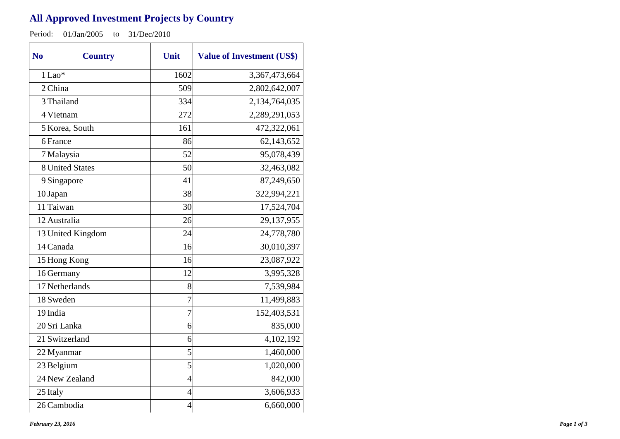## **All Approved Investment Projects by Country**

Period: 01/Jan/2005 to 31/Dec/2010

| N <sub>o</sub> | <b>Country</b>    | Unit           | <b>Value of Investment (US\$)</b> |
|----------------|-------------------|----------------|-----------------------------------|
|                | $1 $ Lao*         | 1602           | 3,367,473,664                     |
|                | 2China            | 509            | 2,802,642,007                     |
|                | 3Thailand         | 334            | 2,134,764,035                     |
|                | 4 Vietnam         | 272            | 2,289,291,053                     |
|                | 5 Korea, South    | 161            | 472,322,061                       |
|                | 6 France          | 86             | 62,143,652                        |
|                | 7Malaysia         | 52             | 95,078,439                        |
|                | 8 United States   | 50             | 32,463,082                        |
|                | 9Singapore        | 41             | 87,249,650                        |
|                | 10 Japan          | 38             | 322,994,221                       |
|                | 11 Taiwan         | 30             | 17,524,704                        |
|                | 12 Australia      | 26             | 29,137,955                        |
|                | 13 United Kingdom | 24             | 24,778,780                        |
|                | 14 Canada         | 16             | 30,010,397                        |
|                | 15 Hong Kong      | 16             | 23,087,922                        |
|                | 16 Germany        | 12             | 3,995,328                         |
|                | 17 Netherlands    | 8              | 7,539,984                         |
|                | 18 Sweden         | 7              | 11,499,883                        |
|                | 19 India          | $\overline{7}$ | 152,403,531                       |
|                | 20Sri Lanka       | 6              | 835,000                           |
|                | 21 Switzerland    | 6              | 4,102,192                         |
|                | 22Myanmar         | 5              | 1,460,000                         |
|                | $23$ Belgium      | 5              | 1,020,000                         |
|                | 24 New Zealand    | $\overline{4}$ | 842,000                           |
|                | 25 Italy          | $\overline{4}$ | 3,606,933                         |
|                | 26 Cambodia       | $\overline{4}$ | 6,660,000                         |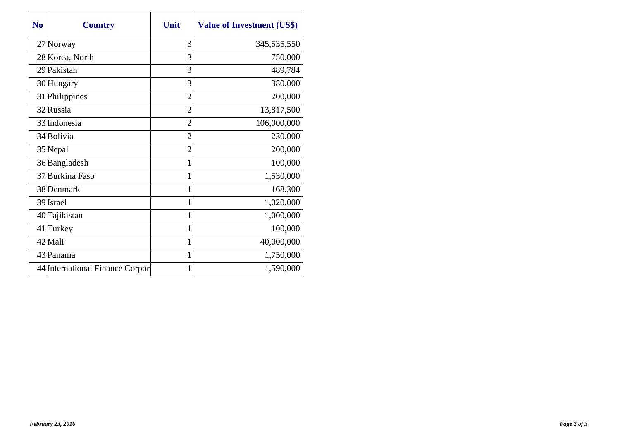| N <sub>0</sub> | <b>Country</b>                  | Unit           | <b>Value of Investment (US\$)</b> |
|----------------|---------------------------------|----------------|-----------------------------------|
|                | 27 Norway                       | 3              | 345,535,550                       |
|                | 28 Korea, North                 | 3              | 750,000                           |
|                | 29 Pakistan                     | 3              | 489,784                           |
|                | 30 Hungary                      | 3              | 380,000                           |
|                | 31 Philippines                  | $\overline{2}$ | 200,000                           |
|                | 32 Russia                       | $\overline{c}$ | 13,817,500                        |
|                | 33 Indonesia                    | $\overline{2}$ | 106,000,000                       |
|                | 34 Bolivia                      | $\overline{2}$ | 230,000                           |
|                | 35 Nepal                        | $\overline{2}$ | 200,000                           |
|                | 36 Bangladesh                   |                | 100,000                           |
|                | 37 Burkina Faso                 |                | 1,530,000                         |
|                | 38 Denmark                      | 1              | 168,300                           |
|                | 39 Israel                       |                | 1,020,000                         |
|                | 40 Tajikistan                   | 1              | 1,000,000                         |
|                | 41 Turkey                       | 1              | 100,000                           |
|                | 42 Mali                         | 1              | 40,000,000                        |
|                | 43 Panama                       |                | 1,750,000                         |
|                | 44 International Finance Corpor | 1              | 1,590,000                         |